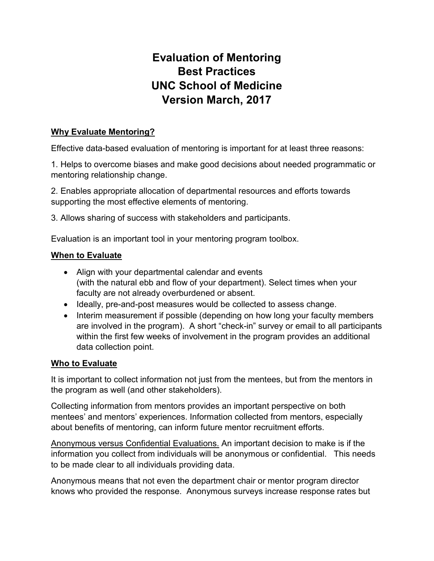# Evaluation of Mentoring Best Practices UNC School of Medicine Version March, 2017

## Why Evaluate Mentoring?

Effective data-based evaluation of mentoring is important for at least three reasons:

1. Helps to overcome biases and make good decisions about needed programmatic or mentoring relationship change.

2. Enables appropriate allocation of departmental resources and efforts towards supporting the most effective elements of mentoring.

3. Allows sharing of success with stakeholders and participants.

Evaluation is an important tool in your mentoring program toolbox.

#### When to Evaluate

- Align with your departmental calendar and events (with the natural ebb and flow of your department). Select times when your faculty are not already overburdened or absent.
- Ideally, pre-and-post measures would be collected to assess change.
- Interim measurement if possible (depending on how long your faculty members are involved in the program). A short "check-in" survey or email to all participants within the first few weeks of involvement in the program provides an additional data collection point.

#### Who to Evaluate

It is important to collect information not just from the mentees, but from the mentors in the program as well (and other stakeholders).

Collecting information from mentors provides an important perspective on both mentees' and mentors' experiences. Information collected from mentors, especially about benefits of mentoring, can inform future mentor recruitment efforts.

Anonymous versus Confidential Evaluations. An important decision to make is if the information you collect from individuals will be anonymous or confidential. This needs to be made clear to all individuals providing data.

Anonymous means that not even the department chair or mentor program director knows who provided the response. Anonymous surveys increase response rates but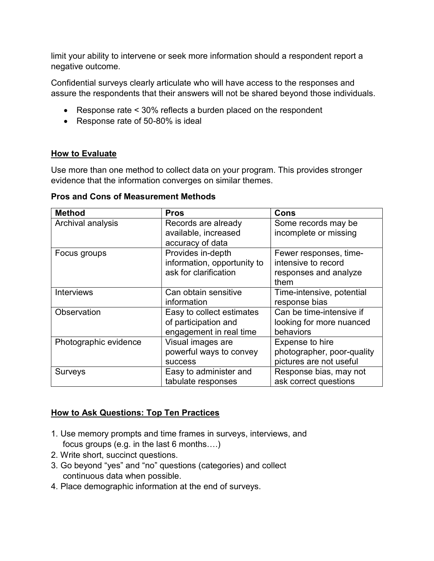limit your ability to intervene or seek more information should a respondent report a negative outcome.

Confidential surveys clearly articulate who will have access to the responses and assure the respondents that their answers will not be shared beyond those individuals.

- Response rate < 30% reflects a burden placed on the respondent
- Response rate of 50-80% is ideal

## How to Evaluate

Use more than one method to collect data on your program. This provides stronger evidence that the information converges on similar themes.

Pros and Cons of Measurement Methods

| <b>Method</b>         | <b>Pros</b>                                                                  | Cons                                                                           |
|-----------------------|------------------------------------------------------------------------------|--------------------------------------------------------------------------------|
| Archival analysis     | Records are already<br>available, increased<br>accuracy of data              | Some records may be<br>incomplete or missing                                   |
| Focus groups          | Provides in-depth<br>information, opportunity to<br>ask for clarification    | Fewer responses, time-<br>intensive to record<br>responses and analyze<br>them |
| <b>Interviews</b>     | Can obtain sensitive<br>information                                          | Time-intensive, potential<br>response bias                                     |
| Observation           | Easy to collect estimates<br>of participation and<br>engagement in real time | Can be time-intensive if<br>looking for more nuanced<br>behaviors              |
| Photographic evidence | Visual images are<br>powerful ways to convey<br><b>SUCCESS</b>               | Expense to hire<br>photographer, poor-quality<br>pictures are not useful       |
| <b>Surveys</b>        | Easy to administer and<br>tabulate responses                                 | Response bias, may not<br>ask correct questions                                |

#### How to Ask Questions: Top Ten Practices

- 1. Use memory prompts and time frames in surveys, interviews, and focus groups (e.g. in the last 6 months….)
- 2. Write short, succinct questions.
- 3. Go beyond "yes" and "no" questions (categories) and collect continuous data when possible.
- 4. Place demographic information at the end of surveys.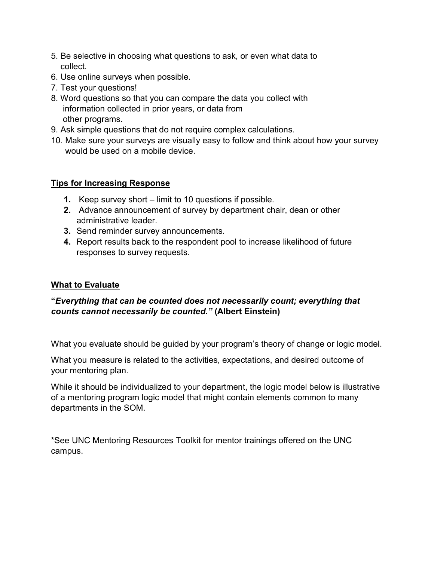- 5. Be selective in choosing what questions to ask, or even what data to collect.
- 6. Use online surveys when possible.
- 7. Test your questions!
- 8. Word questions so that you can compare the data you collect with information collected in prior years, or data from other programs.
- 9. Ask simple questions that do not require complex calculations.
- 10. Make sure your surveys are visually easy to follow and think about how your survey would be used on a mobile device.

# Tips for Increasing Response

- 1. Keep survey short limit to 10 questions if possible.
- 2. Advance announcement of survey by department chair, dean or other administrative leader.
- 3. Send reminder survey announcements.
- 4. Report results back to the respondent pool to increase likelihood of future responses to survey requests.

# What to Evaluate

# "Everything that can be counted does not necessarily count; everything that counts cannot necessarily be counted." (Albert Einstein)

What you evaluate should be guided by your program's theory of change or logic model.

What you measure is related to the activities, expectations, and desired outcome of your mentoring plan.

While it should be individualized to your department, the logic model below is illustrative of a mentoring program logic model that might contain elements common to many departments in the SOM.

\*See UNC Mentoring Resources Toolkit for mentor trainings offered on the UNC campus.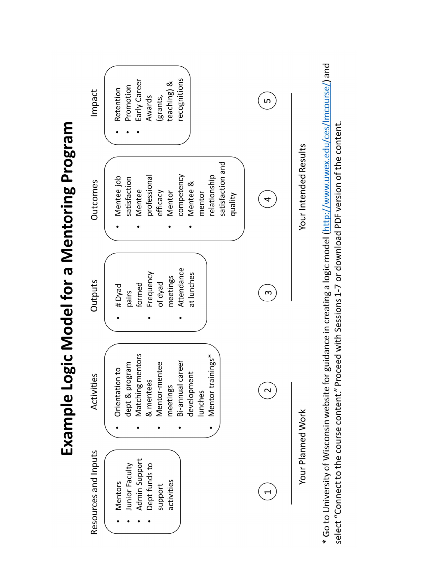



\* Go to University of Wisconsin website for guidance in creating a logic model (http://www.uwex.edu/ces/Imcourse/) and select "Connect to the course content." Proceed with Sessions 1-7 or download PDF version of the content.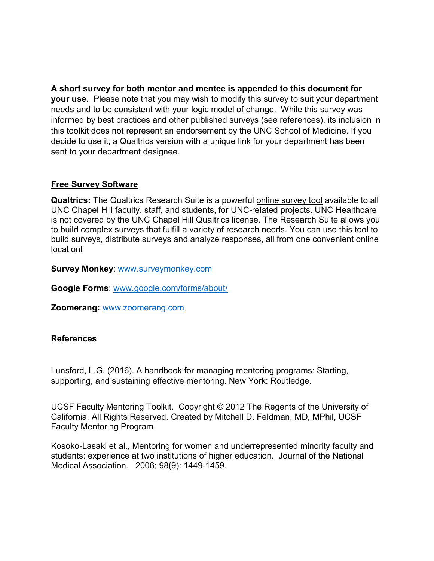A short survey for both mentor and mentee is appended to this document for your use. Please note that you may wish to modify this survey to suit your department needs and to be consistent with your logic model of change. While this survey was informed by best practices and other published surveys (see references), its inclusion in this toolkit does not represent an endorsement by the UNC School of Medicine. If you decide to use it, a Qualtrics version with a unique link for your department has been sent to your department designee.

#### Free Survey Software

Qualtrics: The Qualtrics Research Suite is a powerful online survey tool available to all UNC Chapel Hill faculty, staff, and students, for UNC-related projects. UNC Healthcare is not covered by the UNC Chapel Hill Qualtrics license. The Research Suite allows you to build complex surveys that fulfill a variety of research needs. You can use this tool to build surveys, distribute surveys and analyze responses, all from one convenient online location!

Survey Monkey: www.surveymonkey.com

Google Forms: www.google.com/forms/about/

Zoomerang: www.zoomerang.com

#### **References**

Lunsford, L.G. (2016). A handbook for managing mentoring programs: Starting, supporting, and sustaining effective mentoring. New York: Routledge.

UCSF Faculty Mentoring Toolkit. Copyright © 2012 The Regents of the University of California, All Rights Reserved. Created by Mitchell D. Feldman, MD, MPhil, UCSF Faculty Mentoring Program

Kosoko-Lasaki et al., Mentoring for women and underrepresented minority faculty and students: experience at two institutions of higher education. Journal of the National Medical Association. 2006; 98(9): 1449-1459.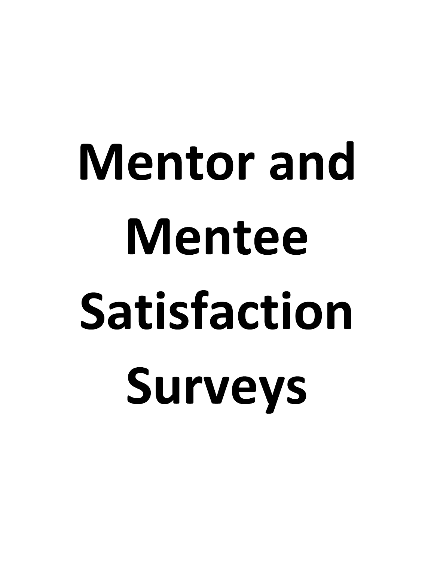# Mentor and Mentee Satisfaction Surveys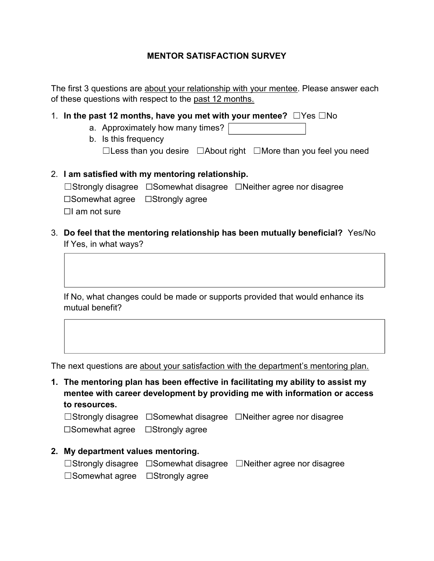#### MENTOR SATISFACTION SURVEY

The first 3 questions are about your relationship with your mentee. Please answer each of these questions with respect to the past 12 months.

- 1. In the past 12 months, have you met with your mentee?  $\square$  Yes  $\square$  No
	- a. Approximately how many times?
	- b. Is this frequency ☐Less than you desire ☐About right ☐More than you feel you need
- 2. I am satisfied with my mentoring relationship. ☐Strongly disagree ☐Somewhat disagree ☐Neither agree nor disagree ☐Somewhat agree ☐Strongly agree  $\Box$ I am not sure
- 3. Do feel that the mentoring relationship has been mutually beneficial? Yes/No If Yes, in what ways?

If No, what changes could be made or supports provided that would enhance its mutual benefit?

The next questions are about your satisfaction with the department's mentoring plan.

1. The mentoring plan has been effective in facilitating my ability to assist my mentee with career development by providing me with information or access to resources.

☐Strongly disagree ☐Somewhat disagree ☐Neither agree nor disagree ☐Somewhat agree ☐Strongly agree

2. My department values mentoring.

|                                             | $\Box$ Strongly disagree $\Box$ Somewhat disagree $\Box$ Neither agree nor disagree |
|---------------------------------------------|-------------------------------------------------------------------------------------|
| $\Box$ Somewhat agree $\Box$ Strongly agree |                                                                                     |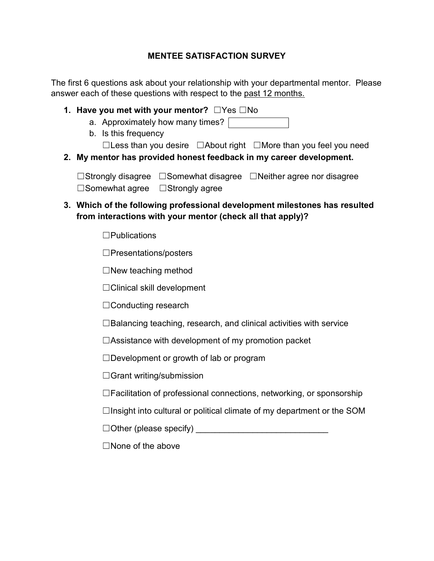# MENTEE SATISFACTION SURVEY

The first 6 questions ask about your relationship with your departmental mentor. Please answer each of these questions with respect to the past 12 months.

- 1. Have you met with your mentor? ☐Yes ☐No
	- a. Approximately how many times?
	- b. Is this frequency

☐Less than you desire ☐About right ☐More than you feel you need

2. My mentor has provided honest feedback in my career development.

☐Strongly disagree ☐Somewhat disagree ☐Neither agree nor disagree ☐Somewhat agree ☐Strongly agree

# 3. Which of the following professional development milestones has resulted from interactions with your mentor (check all that apply)?

☐Publications

☐Presentations/posters

 $\Box$ New teaching method

☐Clinical skill development

☐Conducting research

 $\Box$ Balancing teaching, research, and clinical activities with service

 $\Box$ Assistance with development of my promotion packet

☐Development or growth of lab or program

☐Grant writing/submission

☐Facilitation of professional connections, networking, or sponsorship

 $\Box$ Insight into cultural or political climate of my department or the SOM

 $\Box$  Other (please specify)  $\Box$ 

☐None of the above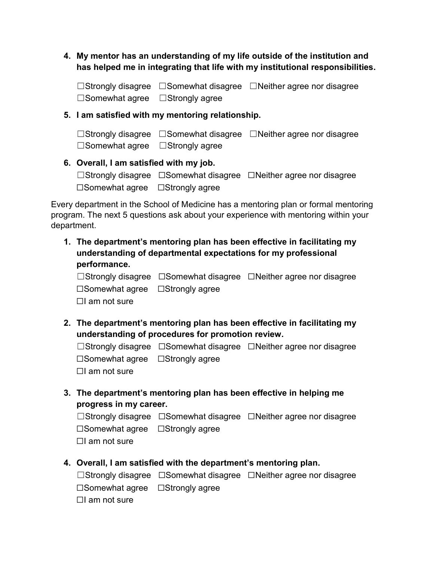4. My mentor has an understanding of my life outside of the institution and has helped me in integrating that life with my institutional responsibilities.

☐Strongly disagree ☐Somewhat disagree ☐Neither agree nor disagree ☐Somewhat agree ☐Strongly agree

#### 5. I am satisfied with my mentoring relationship.

|                                             | $\Box$ Strongly disagree $\Box$ Somewhat disagree $\Box$ Neither agree nor disagree |
|---------------------------------------------|-------------------------------------------------------------------------------------|
| $\Box$ Somewhat agree $\Box$ Strongly agree |                                                                                     |

#### 6. Overall, I am satisfied with my job.

|                                                   | $\Box$ Strongly disagree $\Box$ Somewhat disagree $\Box$ Neither agree nor disagree |
|---------------------------------------------------|-------------------------------------------------------------------------------------|
| $\square$ Somewhat agree $\square$ Strongly agree |                                                                                     |

Every department in the School of Medicine has a mentoring plan or formal mentoring program. The next 5 questions ask about your experience with mentoring within your department.

1. The department's mentoring plan has been effective in facilitating my understanding of departmental expectations for my professional performance.

☐Strongly disagree ☐Somewhat disagree ☐Neither agree nor disagree ☐Somewhat agree ☐Strongly agree  $\Box I$  am not sure

2. The department's mentoring plan has been effective in facilitating my understanding of procedures for promotion review.

☐Strongly disagree ☐Somewhat disagree ☐Neither agree nor disagree ☐Somewhat agree ☐Strongly agree  $\Box I$  am not sure

3. The department's mentoring plan has been effective in helping me progress in my career.

☐Strongly disagree ☐Somewhat disagree ☐Neither agree nor disagree ☐Somewhat agree ☐Strongly agree  $\Box$ I am not sure

4. Overall, I am satisfied with the department's mentoring plan.

☐Strongly disagree ☐Somewhat disagree ☐Neither agree nor disagree ☐Somewhat agree ☐Strongly agree  $\Box$ I am not sure